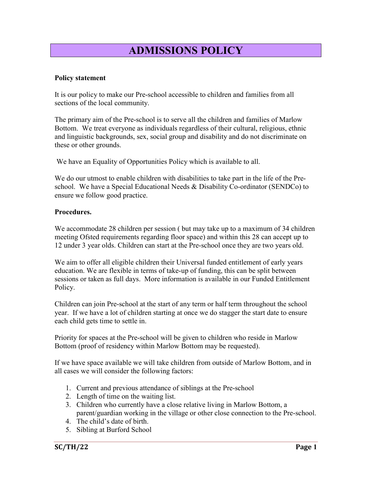## ADMISSIONS POLICY

## Policy statement

It is our policy to make our Pre-school accessible to children and families from all sections of the local community.

The primary aim of the Pre-school is to serve all the children and families of Marlow Bottom. We treat everyone as individuals regardless of their cultural, religious, ethnic and linguistic backgrounds, sex, social group and disability and do not discriminate on these or other grounds.

We have an Equality of Opportunities Policy which is available to all.

We do our utmost to enable children with disabilities to take part in the life of the Preschool. We have a Special Educational Needs & Disability Co-ordinator (SENDCo) to ensure we follow good practice.

## Procedures.

We accommodate 28 children per session ( but may take up to a maximum of 34 children meeting Ofsted requirements regarding floor space) and within this 28 can accept up to 12 under 3 year olds. Children can start at the Pre-school once they are two years old.

We aim to offer all eligible children their Universal funded entitlement of early years education. We are flexible in terms of take-up of funding, this can be split between sessions or taken as full days. More information is available in our Funded Entitlement Policy.

Children can join Pre-school at the start of any term or half term throughout the school year. If we have a lot of children starting at once we do stagger the start date to ensure each child gets time to settle in.

Priority for spaces at the Pre-school will be given to children who reside in Marlow Bottom (proof of residency within Marlow Bottom may be requested).

If we have space available we will take children from outside of Marlow Bottom, and in all cases we will consider the following factors:

- 1. Current and previous attendance of siblings at the Pre-school
- 2. Length of time on the waiting list.
- 3. Children who currently have a close relative living in Marlow Bottom, a parent/guardian working in the village or other close connection to the Pre-school.
- 4. The child's date of birth.
- 5. Sibling at Burford School